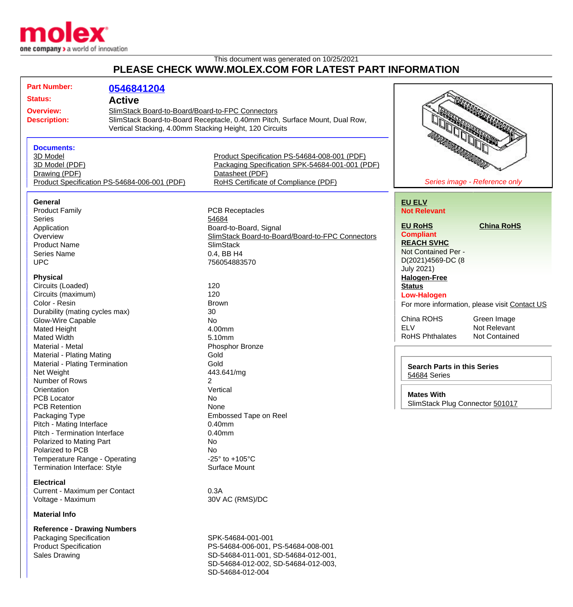

## This document was generated on 10/25/2021 **PLEASE CHECK WWW.MOLEX.COM FOR LATEST PART INFORMATION**

| <b>Part Number:</b>                                 | 0546841204                                                                                                                      |                                                         |                                                                          |                                               |
|-----------------------------------------------------|---------------------------------------------------------------------------------------------------------------------------------|---------------------------------------------------------|--------------------------------------------------------------------------|-----------------------------------------------|
| <b>Status:</b>                                      |                                                                                                                                 |                                                         |                                                                          |                                               |
| <b>Active</b>                                       |                                                                                                                                 |                                                         |                                                                          |                                               |
| <b>Overview:</b>                                    | SlimStack Board-to-Board/Board-to-FPC Connectors<br>SlimStack Board-to-Board Receptacle, 0.40mm Pitch, Surface Mount, Dual Row, |                                                         |                                                                          |                                               |
| <b>Description:</b>                                 |                                                                                                                                 |                                                         | <b>ARTICLE CONTRACTOR</b><br><b>REAL PROPERTY AND</b><br><b>RANTALIA</b> |                                               |
|                                                     |                                                                                                                                 | Vertical Stacking, 4.00mm Stacking Height, 120 Circuits |                                                                          |                                               |
|                                                     |                                                                                                                                 |                                                         |                                                                          |                                               |
| <b>Documents:</b>                                   |                                                                                                                                 |                                                         |                                                                          |                                               |
| 3D Model                                            |                                                                                                                                 | Product Specification PS-54684-008-001 (PDF)            |                                                                          |                                               |
| 3D Model (PDF)                                      |                                                                                                                                 | Packaging Specification SPK-54684-001-001 (PDF)         |                                                                          |                                               |
| Drawing (PDF)                                       |                                                                                                                                 | Datasheet (PDF)                                         |                                                                          |                                               |
| Product Specification PS-54684-006-001 (PDF)        |                                                                                                                                 | RoHS Certificate of Compliance (PDF)                    | Series image - Reference only                                            |                                               |
| General                                             |                                                                                                                                 |                                                         | <b>EU ELV</b>                                                            |                                               |
| <b>Product Family</b>                               |                                                                                                                                 | <b>PCB Receptacles</b>                                  | <b>Not Relevant</b>                                                      |                                               |
| <b>Series</b>                                       |                                                                                                                                 | 54684                                                   |                                                                          |                                               |
| Application                                         |                                                                                                                                 | Board-to-Board, Signal                                  | <b>EU RoHS</b>                                                           | <b>China RoHS</b>                             |
| Overview                                            |                                                                                                                                 | SlimStack Board-to-Board/Board-to-FPC Connectors        | <b>Compliant</b>                                                         |                                               |
| <b>Product Name</b>                                 |                                                                                                                                 | <b>SlimStack</b>                                        | <b>REACH SVHC</b>                                                        |                                               |
|                                                     |                                                                                                                                 |                                                         | Not Contained Per -                                                      |                                               |
| <b>Series Name</b>                                  |                                                                                                                                 | 0.4, BB H4                                              | D(2021)4569-DC (8                                                        |                                               |
| <b>UPC</b>                                          |                                                                                                                                 | 756054883570                                            | <b>July 2021)</b>                                                        |                                               |
| <b>Physical</b>                                     |                                                                                                                                 |                                                         | <b>Halogen-Free</b>                                                      |                                               |
| Circuits (Loaded)                                   |                                                                                                                                 | 120                                                     | <b>Status</b>                                                            |                                               |
| Circuits (maximum)                                  |                                                                                                                                 | 120                                                     | <b>Low-Halogen</b>                                                       |                                               |
| Color - Resin                                       |                                                                                                                                 | <b>Brown</b>                                            |                                                                          |                                               |
|                                                     |                                                                                                                                 | 30                                                      |                                                                          | For more information, please visit Contact US |
| Durability (mating cycles max)<br>Glow-Wire Capable |                                                                                                                                 | <b>No</b>                                               | China ROHS                                                               | Green Image                                   |
|                                                     |                                                                                                                                 | 4.00mm                                                  | <b>ELV</b>                                                               | Not Relevant                                  |
| Mated Height<br>Mated Width                         |                                                                                                                                 | 5.10mm                                                  | <b>RoHS Phthalates</b>                                                   | Not Contained                                 |
|                                                     |                                                                                                                                 |                                                         |                                                                          |                                               |
| Material - Metal                                    |                                                                                                                                 | Phosphor Bronze                                         |                                                                          |                                               |
| Material - Plating Mating                           |                                                                                                                                 | Gold                                                    |                                                                          |                                               |
| Material - Plating Termination                      |                                                                                                                                 | Gold                                                    | <b>Search Parts in this Series</b>                                       |                                               |
| Net Weight                                          |                                                                                                                                 | 443.641/mg                                              | 54684 Series                                                             |                                               |
| Number of Rows                                      |                                                                                                                                 | 2                                                       |                                                                          |                                               |
| Orientation                                         |                                                                                                                                 | Vertical                                                | <b>Mates With</b>                                                        |                                               |
| <b>PCB Locator</b>                                  |                                                                                                                                 | No                                                      | SlimStack Plug Connector 501017                                          |                                               |
| <b>PCB Retention</b>                                |                                                                                                                                 | None                                                    |                                                                          |                                               |
| Packaging Type                                      |                                                                                                                                 | Embossed Tape on Reel                                   |                                                                          |                                               |
| Pitch - Mating Interface                            |                                                                                                                                 | $0.40$ mm                                               |                                                                          |                                               |
| Pitch - Termination Interface                       |                                                                                                                                 | $0.40$ mm                                               |                                                                          |                                               |
| Polarized to Mating Part                            |                                                                                                                                 | No                                                      |                                                                          |                                               |
| Polarized to PCB                                    |                                                                                                                                 | No                                                      |                                                                          |                                               |
| Temperature Range - Operating                       |                                                                                                                                 | -25 $\degree$ to +105 $\degree$ C                       |                                                                          |                                               |
| Termination Interface: Style                        |                                                                                                                                 | Surface Mount                                           |                                                                          |                                               |
| <b>Electrical</b>                                   |                                                                                                                                 |                                                         |                                                                          |                                               |
| Current - Maximum per Contact                       |                                                                                                                                 | 0.3A                                                    |                                                                          |                                               |
| Voltage - Maximum                                   |                                                                                                                                 | 30V AC (RMS)/DC                                         |                                                                          |                                               |
| <b>Material Info</b>                                |                                                                                                                                 |                                                         |                                                                          |                                               |
| <b>Reference - Drawing Numbers</b>                  |                                                                                                                                 |                                                         |                                                                          |                                               |
| Packaging Specification                             |                                                                                                                                 | SPK-54684-001-001                                       |                                                                          |                                               |
| <b>Product Specification</b>                        |                                                                                                                                 | PS-54684-006-001, PS-54684-008-001                      |                                                                          |                                               |

Sales Drawing Sales Drawing SD-54684-011-001, SD-54684-012-001, SD-54684-012-002, SD-54684-012-003, SD-54684-012-004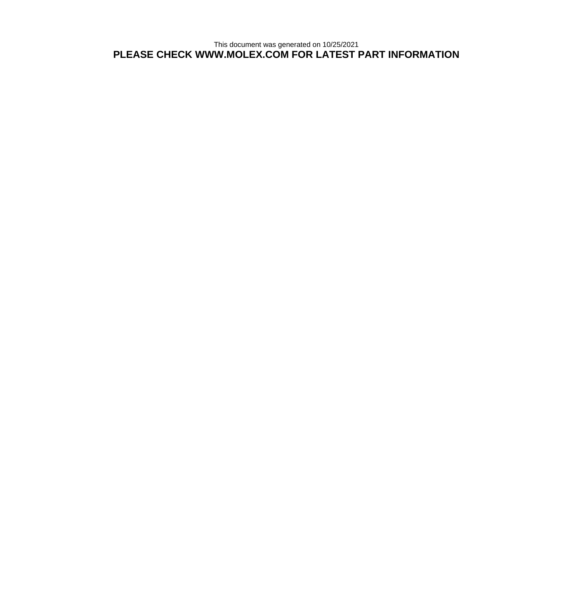This document was generated on 10/25/2021 **PLEASE CHECK WWW.MOLEX.COM FOR LATEST PART INFORMATION**